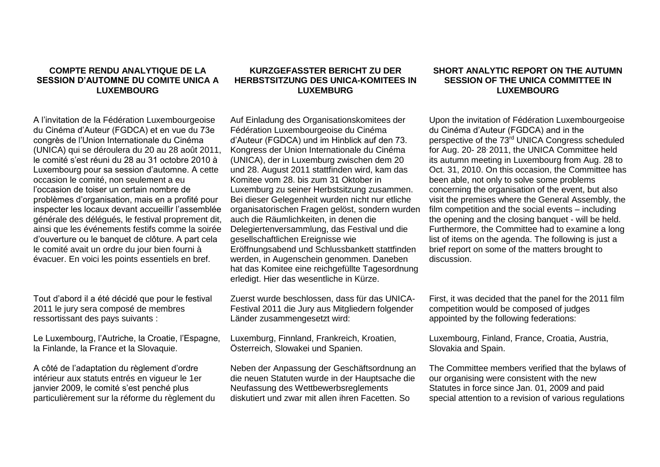## **COMPTE RENDU ANALYTIQUE DE LA SESSION D'AUTOMNE DU COMITE UNICA A LUXEMBOURG**

A l'invitation de la Fédération Luxembourgeoise du Cinéma d'Auteur (FGDCA) et en vue du 73e congrès de l'Union Internationale du Cinéma (UNICA) qui se déroulera du 20 au 28 août 2011, le comité s'est réuni du 28 au 31 octobre 2010 à Luxembourg pour sa session d'automne. A cette occasion le comité, non seulement a eu l'occasion de toiser un certain nombre de problèmes d'organisation, mais en a profité pour inspecter les locaux devant accueillir l'assemblée générale des délégués, le festival proprement dit, ainsi que les événements festifs comme la soirée d'ouverture ou le banquet de clôture. A part cela le comité avait un ordre du jour bien fourni à évacuer. En voici les points essentiels en bref.

Tout d'abord il a été décidé que pour le festival 2011 le jury sera composé de membres ressortissant des pays suivants :

Le Luxembourg, l'Autriche, la Croatie, l'Espagne, la Finlande, la France et la Slovaquie.

A côté de l'adaptation du règlement d'ordre intérieur aux statuts entrés en vigueur le 1er janvier 2009, le comité s'est penché plus particulièrement sur la réforme du règlement du

## **KURZGEFASSTER BERICHT ZU DER HERBSTSITZUNG DES UNICA-KOMITEES IN LUXEMBURG**

Auf Einladung des Organisationskomitees der Fédération Luxembourgeoise du Cinéma d'Auteur (FGDCA) und im Hinblick auf den 73. Kongress der Union Internationale du Cinéma (UNICA), der in Luxemburg zwischen dem 20 und 28. August 2011 stattfinden wird, kam das Komitee vom 28. bis zum 31 Oktober in Luxemburg zu seiner Herbstsitzung zusammen. Bei dieser Gelegenheit wurden nicht nur etliche organisatorischen Fragen gelöst, sondern wurden auch die Räumlichkeiten, in denen die Delegiertenversammlung, das Festival und die gesellschaftlichen Ereignisse wie Eröffnungsabend und Schlussbankett stattfinden werden, in Augenschein genommen. Daneben hat das Komitee eine reichgefüllte Tagesordnung erledigt. Hier das wesentliche in Kürze.

Zuerst wurde beschlossen, dass für das UNICA-Festival 2011 die Jury aus Mitgliedern folgender Länder zusammengesetzt wird:

Luxemburg, Finnland, Frankreich, Kroatien, Österreich, Slowakei und Spanien.

Neben der Anpassung der Geschäftsordnung an die neuen Statuten wurde in der Hauptsache die Neufassung des Wettbewerbsreglements diskutiert und zwar mit allen ihren Facetten. So

## **SHORT ANALYTIC REPORT ON THE AUTUMN SESSION OF THE UNICA COMMITTEE IN LUXEMBOURG**

Upon the invitation of Fédération Luxembourgeoise du Cinéma d'Auteur (FGDCA) and in the perspective of the 73rd UNICA Congress scheduled for Aug. 20- 28, 2011, the UNICA Committee held its autumn meeting in Luxembourg from Aug. 28 to Oct. 31, 2010. On this occasion, the Committee has been able, not only to solve some problems concerning the organisation of the event, but also visit the premises where the General Assembly, the film competition and the social events – including the opening and the closing banquet - will be held. Furthermore, the Committee had to examine a long list of items on the agenda. The following is just a brief report on some of the matters brought to discussion.

First, it was decided that the panel for the 2011 film competition would be composed of judges appointed by the following federations:

Luxembourg, Finland, France, Croatia, Austria, Slovakia and Spain.

The Committee members verified that the bylaws of our organising were consistent with the new Statutes in force since Jan. 01, 2009 and paid special attention to a revision of various regulations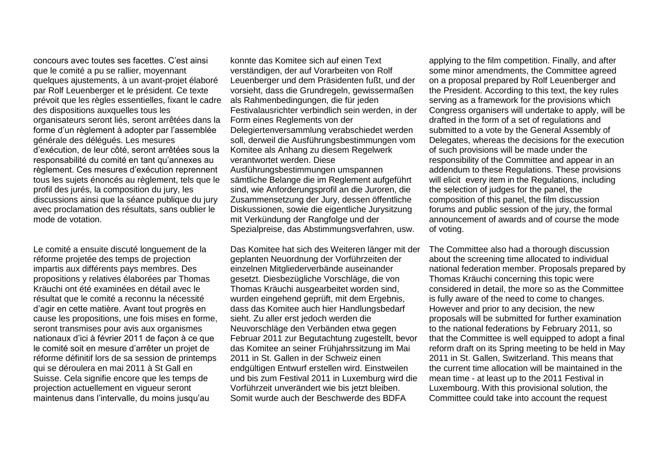concours avec toutes ses facettes. C'est ainsi que le comité a pu se rallier, moyennant quelques ajustements, à un avant-projet élaboré par Rolf Leuenberger et le président. Ce texte prévoit que les règles essentielles, fixant le cadre des dispositions auxquelles tous les organisateurs seront liés, seront arrêtées dans la forme d'un règlement à adopter par l'assemblée générale des délégués. Les mesures d'exécution, de leur côté, seront arrêtées sous la responsabilité du comité en tant qu'annexes au règlement. Ces mesures d'exécution reprennent tous les sujets énoncés au règlement, tels que le profil des jurés, la composition du jury, les discussions ainsi que la séance publique du jury avec proclamation des résultats, sans oublier le mode de votation.

Le comité a ensuite discuté longuement de la réforme projetée des temps de projection impartis aux différents pays membres. Des propositions y relatives élaborées par Thomas Kräuchi ont été examinées en détail avec le résultat que le comité a reconnu la nécessité d'agir en cette matière. Avant tout progrès en cause les propositions, une fois mises en forme, seront transmises pour avis aux organismes nationaux d'ici à février 2011 de façon à ce que le comité soit en mesure d'arrêter un projet de réforme définitif lors de sa session de printemps qui se déroulera en mai 2011 à St Gall en Suisse. Cela signifie encore que les temps de projection actuellement en vigueur seront maintenus dans l'intervalle, du moins jusqu'au

konnte das Komitee sich auf einen Text verständigen, der auf Vorarbeiten von Rolf Leuenberger und dem Präsidenten fußt, und der vorsieht, dass die Grundregeln, gewissermaßen als Rahmenbedingungen, die für jeden Festivalausrichter verbindlich sein werden, in der Form eines Reglements von der Delegiertenversammlung verabschiedet werden soll, derweil die Ausführungsbestimmungen vom Komitee als Anhang zu diesem Regelwerk verantwortet werden. Diese Ausführungsbestimmungen umspannen sämtliche Belange die im Reglement aufgeführt sind, wie Anforderungsprofil an die Juroren, die Zusammensetzung der Jury, dessen öffentliche Diskussionen, sowie die eigentliche Jurysitzung mit Verkündung der Rangfolge und der Spezialpreise, das Abstimmungsverfahren, usw.

Das Komitee hat sich des Weiteren länger mit der geplanten Neuordnung der Vorführzeiten der einzelnen Mitgliederverbände auseinander gesetzt. Diesbezügliche Vorschläge, die von Thomas Kräuchi ausgearbeitet worden sind, wurden eingehend geprüft, mit dem Ergebnis, dass das Komitee auch hier Handlungsbedarf sieht. Zu aller erst jedoch werden die Neuvorschläge den Verbänden etwa gegen Februar 2011 zur Begutachtung zugestellt, bevor das Komitee an seiner Frühjahrssitzung im Mai 2011 in St. Gallen in der Schweiz einen endgültigen Entwurf erstellen wird. Einstweilen und bis zum Festival 2011 in Luxemburg wird die Vorführzeit unverändert wie bis jetzt bleiben. Somit wurde auch der Beschwerde des BDFA

applying to the film competition. Finally, and after some minor amendments, the Committee agreed on a proposal prepared by Rolf Leuenberger and the President. According to this text, the key rules serving as a framework for the provisions which Congress organisers will undertake to apply, will be drafted in the form of a set of regulations and submitted to a vote by the General Assembly of Delegates, whereas the decisions for the execution of such provisions will be made under the responsibility of the Committee and appear in an addendum to these Regulations. These provisions will elicit every item in the Regulations, including the selection of judges for the panel, the composition of this panel, the film discussion forums and public session of the jury, the formal announcement of awards and of course the mode of voting.

The Committee also had a thorough discussion about the screening time allocated to individual national federation member. Proposals prepared by Thomas Kräuchi concerning this topic were considered in detail, the more so as the Committee is fully aware of the need to come to changes. However and prior to any decision, the new proposals will be submitted for further examination to the national federations by February 2011, so that the Committee is well equipped to adopt a final reform draft on its Spring meeting to be held in May 2011 in St. Gallen, Switzerland. This means that the current time allocation will be maintained in the mean time - at least up to the 2011 Festival in Luxembourg. With this provisional solution, the Committee could take into account the request